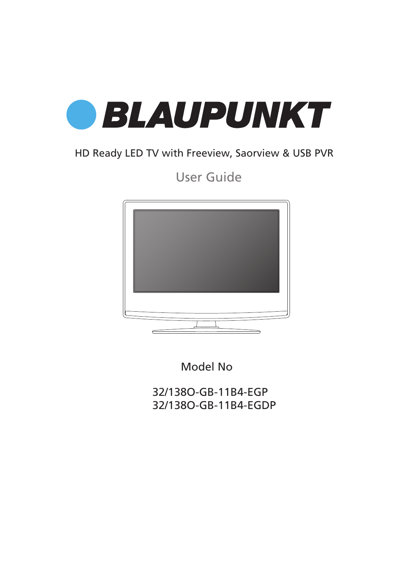

## HD Ready LED TV with Freeview, Saorview & USB PVR

User Guide



Model No

32/138O-GB-11B4-EGP 32/138O-GB-11B4-EGDP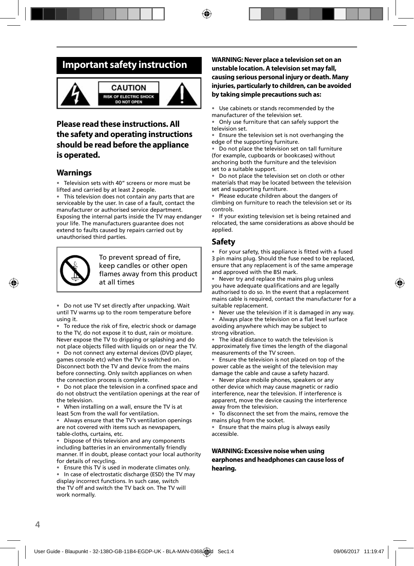## **Important safety instruction**



### **Please read these instructions. All the safety and operating instructions should be read before the appliance is operated.**

### **Warnings**

Television sets with 40" screens or more must be lifted and carried by at least 2 people.

This television does not contain any parts that are serviceable by the user. In case of a fault, contact the manufacturer or authorised service department. Exposing the internal parts inside the TV may endanger your life. The manufacturers guarantee does not extend to faults caused by repairs carried out by unauthorised third parties.



To prevent spread of fire, keep candles or other open flames away from this product at all times

• Do not use TV set directly after unpacking. Wait until TV warms up to the room temperature before using it.

• To reduce the risk of fire, electric shock or damage to the TV, do not expose it to dust, rain or moisture. Never expose the TV to dripping or splashing and do not place objects filled with liquids on or near the TV.

• Do not connect any external devices (DVD player, games console etc) when the TV is switched on. Disconnect both the TV and device from the mains before connecting. Only switch appliances on when the connection process is complete.

• Do not place the television in a confined space and do not obstruct the ventilation openings at the rear of the television.

• When installing on a wall, ensure the TV is at least 5cm from the wall for ventilation.

• Always ensure that the TV's ventilation openings are not covered with items such as newspapers, table-cloths, curtains, etc.

• Dispose of this television and any components including batteries in an environmentally friendly manner. If in doubt, please contact your local authority for details of recycling.

• Ensure this TV is used in moderate climates only.

In case of electrostatic discharge (ESD) the TV may display incorrect functions. In such case, switch the TV off and switch the TV back on. The TV will work normally.

#### **WARNING: Never place a television set on an unstable location. A television set may fall, causing serious personal injury or death. Many injuries, particularly to children, can be avoided by taking simple precautions such as:**

• Use cabinets or stands recommended by the manufacturer of the television set.

• Only use furniture that can safely support the television set.

Ensure the television set is not overhanging the edge of the supporting furniture.

Do not place the television set on tall furniture (for example, cupboards or bookcases) without anchoring both the furniture and the television set to a suitable support.

• Do not place the television set on cloth or other materials that may be located between the television set and supporting furniture.

• Please educate children about the dangers of climbing on furniture to reach the television set or its controls.

• If your existing television set is being retained and relocated, the same considerations as above should be applied.

#### **Safety**

For your safety, this appliance is fitted with a fused 3 pin mains plug. Should the fuse need to be replaced, ensure that any replacement is of the same amperage and approved with the BSI mark.

• Never try and replace the mains plug unless you have adequate qualifications and are legally authorised to do so. In the event that a replacement mains cable is required, contact the manufacturer for a suitable replacement.

• Never use the television if it is damaged in any way.

Always place the television on a flat level surface avoiding anywhere which may be subject to strong vibration.

• The ideal distance to watch the television is approximately five times the length of the diagonal measurements of the TV screen.

Ensure the television is not placed on top of the power cable as the weight of the television may damage the cable and cause a safety hazard.

• Never place mobile phones, speakers or any other device which may cause magnetic or radio interference, near the television. If interference is apparent, move the device causing the interference away from the television.

• To disconnect the set from the mains, remove the mains plug from the socket.

• Ensure that the mains plug is always easily accessible.

#### **WARNING: Excessive noise when using earphones and headphones can cause loss of hearing.**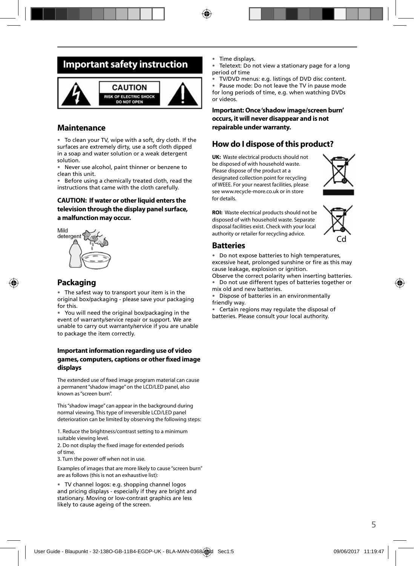## **Important safety instruction**



#### **Maintenance**

• To clean your TV, wipe with a soft, dry cloth. If the surfaces are extremely dirty, use a soft cloth dipped in a soap and water solution or a weak detergent solution.

• Never use alcohol, paint thinner or benzene to clean this unit.

• Before using a chemically treated cloth, read the instructions that came with the cloth carefully.

#### **CAUTION: If water or other liquid enters the television through the display panel surface, a malfunction may occur.**



### **Packaging**

• The safest way to transport your item is in the original box/packaging - please save your packaging for this.

• You will need the original box/packaging in the event of warranty/service repair or support. We are unable to carry out warranty/service if you are unable to package the item correctly.

#### **Important information regarding use of video**  games, computers, captions or other fixed image **displays**

The extended use of fixed image program material can cause a permanent "shadow image" on the LCD/LED panel, also known as "screen burn".

This "shadow image" can appear in the background during normal viewing. This type of irreversible LCD/LED panel deterioration can be limited by observing the following steps:

1. Reduce the brightness/contrast setting to a minimum suitable viewing level.

2. Do not display the fixed image for extended periods of time.

3. Turn the power off when not in use.

Examples of images that are more likely to cause "screen burn" are as follows (this is not an exhaustive list):

• TV channel logos: e.g. shopping channel logos and pricing displays - especially if they are bright and stationary. Moving or low-contrast graphics are less likely to cause ageing of the screen.

- Time displays.
- Teletext: Do not view a stationary page for a long period of time
- TV/DVD menus: e.g. listings of DVD disc content.

• Pause mode: Do not leave the TV in pause mode for long periods of time, e.g. when watching DVDs or videos.

#### **Important: Once 'shadow image/screen burn' occurs, it will never disappear and is not repairable under warranty.**

### **How do I dispose of this product?**

**UK:** Waste electrical products should not be disposed of with household waste. Please dispose of the product at a designated collection point for recycling of WEEE. For your nearest facilities, please see www.recycle-more.co.uk or in store for details.



**ROI:** Waste electrical products should not be disposed of with household waste. Separate disposal facilities exist. Check with your local authority or retailer for recycling advice.



### **Batteries**

• Do not expose batteries to high temperatures,

excessive heat, prolonged sunshine or fire as this may cause leakage, explosion or ignition.

Observe the correct polarity when inserting batteries. • Do not use different types of batteries together or mix old and new batteries.

• Dispose of batteries in an environmentally friendly way.

• Certain regions may regulate the disposal of batteries. Please consult your local authority.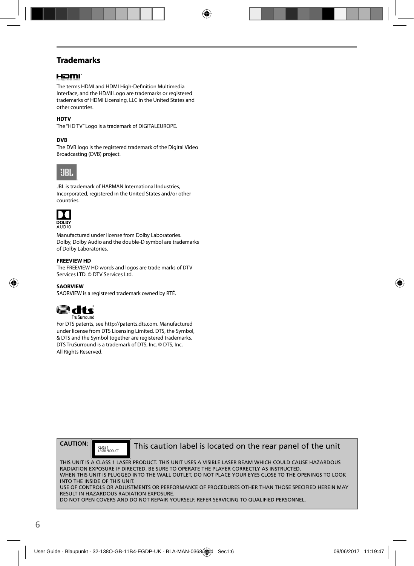### **Trademarks**

#### HOMI

The terms HDMI and HDMI High-Definition Multimedia Interface, and the HDMI Logo are trademarks or registered trademarks of HDMI Licensing, LLC in the United States and other countries.

#### **HDTV**

The "HD TV" Logo is a trademark of DIGITALEUROPE.

#### **DVB**

The DVB logo is the registered trademark of the Digital Video Broadcasting (DVB) project.



JBL is trademark of HARMAN International Industries, Incorporated, registered in the United States and/or other countries.



Manufactured under license from Dolby Laboratories. Dolby, Dolby Audio and the double-D symbol are trademarks of Dolby Laboratories.

#### **FREEVIEW HD**

The FREEVIEW HD words and logos are trade marks of DTV Services LTD. © DTV Services Ltd.

**SAORVIEW** SAORVIEW is a registered trademark owned by RTÉ.



For DTS patents, see http://patents.dts.com. Manufactured under license from DTS Licensing Limited. DTS, the Symbol, & DTS and the Symbol together are registered trademarks. DTS TruSurround is a trademark of DTS, Inc. © DTS, Inc. All Rights Reserved.



CLASS 1<br>LASER PRODUCT

This caution label is located on the rear panel of the unit

THIS UNIT IS A CLASS 1 LASER PRODUCT. THIS UNIT USES A VISIBLE LASER BEAM WHICH COULD CAUSE HAZARDOUS RADIATION EXPOSURE IF DIRECTED. BE SURE TO OPERATE THE PLAYER CORRECTLY AS INSTRUCTED. WHEN THIS UNIT IS PLUGGED INTO THE WALL OUTLET, DO NOT PLACE YOUR EYES CLOSE TO THE OPENINGS TO LOOK INTO THE INSIDE OF THIS UNIT. USE OF CONTROLS OR ADJUSTMENTS OR PERFORMANCE OF PROCEDURES OTHER THAN THOSE SPECIFIED HEREIN MAY RESULT IN HAZARDOUS RADIATION EXPOSURE.

DO NOT OPEN COVERS AND DO NOT REPAIR YOURSELF. REFER SERVICING TO QUALIFIED PERSONNEL.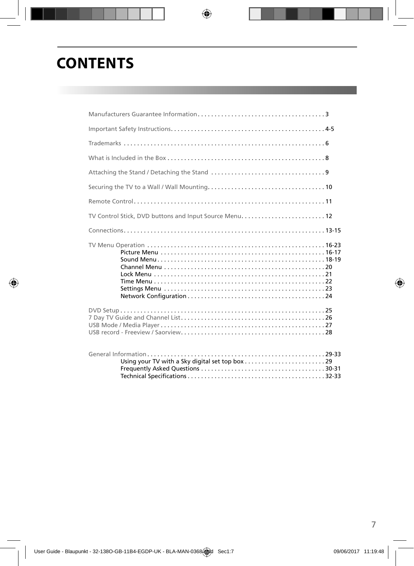# **CONTENTS**

| TV Control Stick, DVD buttons and Input Source Menu 12 |  |
|--------------------------------------------------------|--|
|                                                        |  |
|                                                        |  |
|                                                        |  |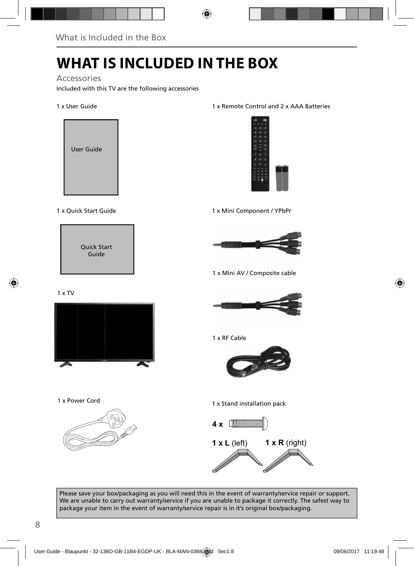# **WHAT IS INCLUDED IN THE BOX**

Accessories

Included with this TV are the following accessories

#### 1 x User Guide



#### 1 x Quick Start Guide



#### 1 x Remote Control and 2 x AAA Batteries



1 x Mini Component / YPbPr



1 x Mini AV / Composite cable

1 x TV



1 x RF Cable



1 x Power Cord



1 x Stand installation pack



Please save your box/packaging as you will need this in the event of warranty/service repair or support. We are unable to carry out warranty/service if you are unable to package it correctly. The safest way to package your item in the event of warranty/service repair is in it's original box/packaging.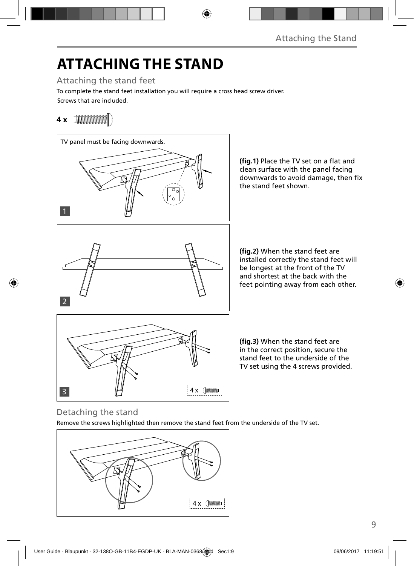# **ATTACHING THE STAND**

Attaching the stand feet

Screws that are included. To complete the stand feet installation you will require a cross head screw driver.

## **4 x**



### Detaching the stand

Remove the screws highlighted then remove the stand feet from the underside of the TV set.

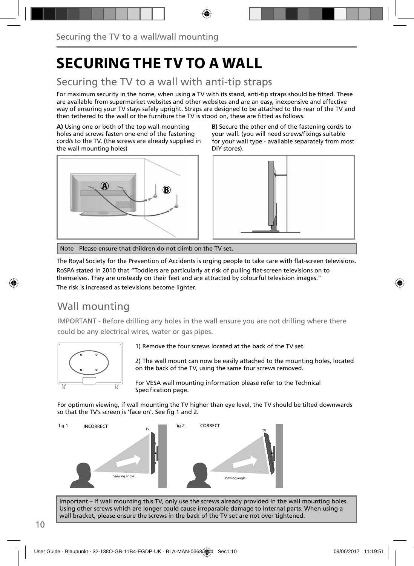# **SECURING THE TV TO A WALL**

## Securing the TV to a wall with anti-tip straps

For maximum security in the home, when using a TV with its stand, anti-tip straps should be fitted. These are available from supermarket websites and other websites and are an easy, inexpensive and effective way of ensuring your TV stays safely upright. Straps are designed to be attached to the rear of the TV and then tethered to the wall or the furniture the TV is stood on, these are fitted as follows.

**A)** Using one or both of the top wall-mounting holes and screws fasten one end of the fastening cord/s to the TV. (the screws are already supplied in the wall mounting holes)



**B)** Secure the other end of the fastening cord/s to your wall. (you will need screws/fixings suitable for your wall type - available separately from most DIY stores).



Note - Please ensure that children do not climb on the TV set.

The Royal Society for the Prevention of Accidents is urging people to take care with flat-screen televisions.

RoSPA stated in 2010 that "Toddlers are particularly at risk of pulling flat-screen televisions on to themselves. They are unsteady on their feet and are attracted by colourful television images."

The risk is increased as televisions become lighter.

## Wall mounting

IMPORTANT - Before drilling any holes in the wall ensure you are not drilling where there could be any electrical wires, water or gas pipes.



1) Remove the four screws located at the back of the TV set.

2) The wall mount can now be easily attached to the mounting holes, located on the back of the TV, using the same four screws removed.

For VESA wall mounting information please refer to the Technical Specification page.

For optimum viewing, if wall mounting the TV higher than eye level, the TV should be tilted downwards so that the TV's screen is 'face on'. See fig 1 and 2.



Important – If wall mounting this TV, only use the screws already provided in the wall mounting holes. Using other screws which are longer could cause irreparable damage to internal parts. When using a wall bracket, please ensure the screws in the back of the TV set are not over tightened.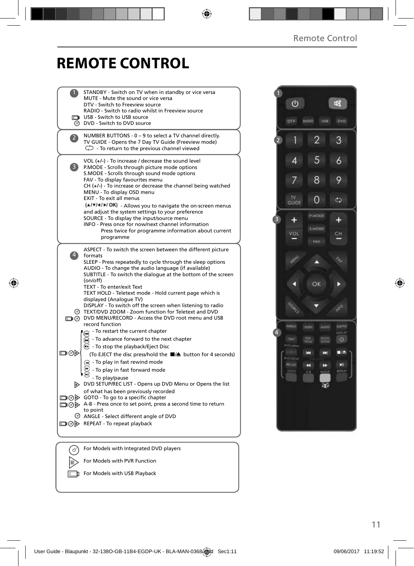# **REMOTE CONTROL**

|                | STANDBY - Switch on TV when in standby or vice versa                                                           |  |
|----------------|----------------------------------------------------------------------------------------------------------------|--|
|                | MUTE - Mute the sound or vice versa<br>DTV - Switch to Freeview source                                         |  |
|                | RADIO - Switch to radio whilst in Freeview source                                                              |  |
|                | USB - Switch to USB source                                                                                     |  |
|                | <b>O</b> DVD - Switch to DVD source                                                                            |  |
| $\overline{2}$ | NUMBER BUTTONS - 0 - 9 to select a TV channel directly.                                                        |  |
|                | TV GUIDE - Opens the 7 Day TV Guide (Freeview mode)                                                            |  |
|                | $\mathbb{C}$ - To return to the previous channel viewed                                                        |  |
|                | VOL (+/-) - To increase / decrease the sound level                                                             |  |
| 3)             | P.MODE - Scrolls through picture mode options<br>S.MODE - Scrolls through sound mode options                   |  |
|                | FAV - To display favourites menu                                                                               |  |
|                | CH (+/-) - To increase or decrease the channel being watched                                                   |  |
|                | MENU - To display OSD menu                                                                                     |  |
|                | EXIT - To exit all menus                                                                                       |  |
|                | (A/V/4/M/OK) - Allows you to navigate the on-screen menus<br>and adjust the system settings to your preference |  |
|                | SOURCE - To display the input/source menu                                                                      |  |
|                | INFO - Press once for now/next channel information                                                             |  |
|                | Press twice for programme information about current<br>programme                                               |  |
|                |                                                                                                                |  |
|                | ASPECT - To switch the screen between the different picture                                                    |  |
|                | 4 formats<br>SLEEP - Press repeatedly to cycle through the sleep options                                       |  |
|                | AUDIO - To change the audio language (if available)                                                            |  |
|                | SUBTITLE - To switch the dialogue at the bottom of the screen                                                  |  |
|                | (on/off)<br>TEXT - To enter/exit Text                                                                          |  |
|                | TEXT HOLD - Teletext mode - Hold current page which is                                                         |  |
|                | displayed (Analoque TV)                                                                                        |  |
|                | DISPLAY - To switch off the screen when listening to radio                                                     |  |
|                | TEXT/DVD ZOOM - Zoom function for Teletext and DVD<br>DVD MENU/RECORD - Access the DVD root menu and USB       |  |
|                | record function                                                                                                |  |
|                | - To restart the current chapter<br>ଳ                                                                          |  |
|                | - To advance forward to the next chapter<br>$\textcolor{red}{\bullet}$                                         |  |
|                | $\left(\frac{1}{2}\right)$ - To stop the playback/Eject Disc                                                   |  |
| ▭⊙▷            | (To EJECT the disc press/hold the ■▲ button for 4 seconds)                                                     |  |
|                | (a) - To play in fast rewind mode                                                                              |  |
|                | - To play in fast forward mode                                                                                 |  |
|                | - To play/pause                                                                                                |  |
|                | DVD SETUP/REC LIST - Opens up DVD Menu or Opens the list<br>of what has been previously recorded               |  |
|                | □ ⊙ ⊙ GOTO - To go to a specific chapter                                                                       |  |
|                | A-B - Press once to set point, press a second time to return                                                   |  |
|                | to point<br>© ANGLE - Select different angle of DVD                                                            |  |
|                | □⊙▷ REPEAT - To repeat playback                                                                                |  |
|                |                                                                                                                |  |
|                |                                                                                                                |  |
|                | For Models with Integrated DVD players                                                                         |  |
|                |                                                                                                                |  |
|                | For Models with PVR Function                                                                                   |  |

For Models with USB Playback

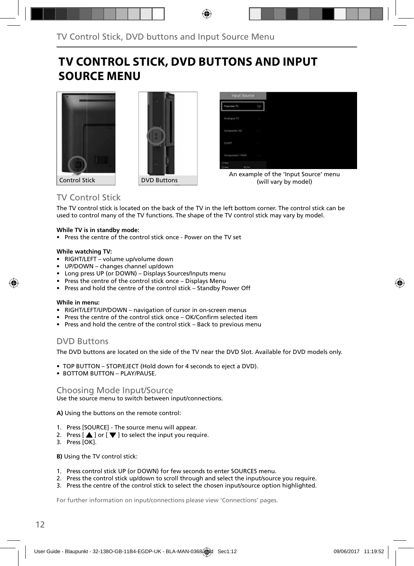## **TV CONTROL STICK, DVD BUTTONS AND INPUT SOURCE MENU**





An example of the 'Input Source' menu (will vary by model)

#### Control Stick **DVD** Buttons

### TV Control Stick

The TV control stick is located on the back of the TV in the left bottom corner. The control stick can be used to control many of the TV functions. The shape of the TV control stick may vary by model.

#### **While TV is in standby mode:**

• Press the centre of the control stick once - Power on the TV set

#### **While watching TV:**

- RIGHT/LEFT volume up/volume down
- UP/DOWN changes channel up/down
- Long press UP (or DOWN) Displays Sources/Inputs menu
- Press the centre of the control stick once Displays Menu
- Press and hold the centre of the control stick Standby Power Off

#### **While in menu:**

- RIGHT/LEFT/UP/DOWN navigation of cursor in on-screen menus
- Press the centre of the control stick once OK/Confirm selected item
- Press and hold the centre of the control stick Back to previous menu

### DVD Buttons

The DVD buttons are located on the side of the TV near the DVD Slot. Available for DVD models only.

- TOP BUTTON STOP/EJECT (Hold down for 4 seconds to eject a DVD).
- BOTTOM BUTTON PLAY/PAUSE.

#### Choosing Mode Input/Source

Use the source menu to switch between input/connections.

**A)** Using the buttons on the remote control:

- 1. Press [SOURCE] The source menu will appear.
- 2. Press  $\left[\triangle\right]$  or  $\left[\blacktriangledown\right]$  to select the input you require.
- 3. Press [OK].

**B)** Using the TV control stick:

- 1. Press control stick UP (or DOWN) for few seconds to enter SOURCES menu.
- 2. Press the control stick up/down to scroll through and select the input/source you require.
- 3. Press the centre of the control stick to select the chosen input/source option highlighted.

For further information on input/connections please view 'Connections' pages.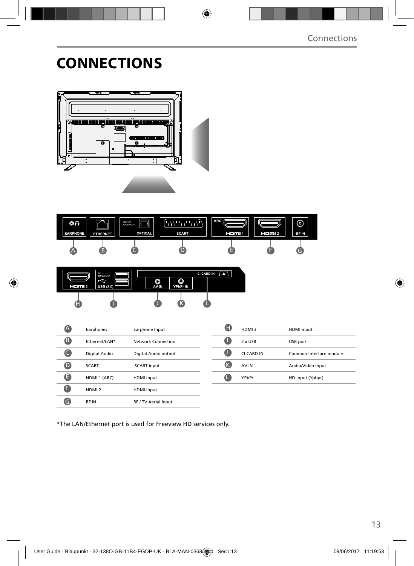# **CONNECTIONS**





\*The LAN/Ethernet port is used for Freeview HD services only.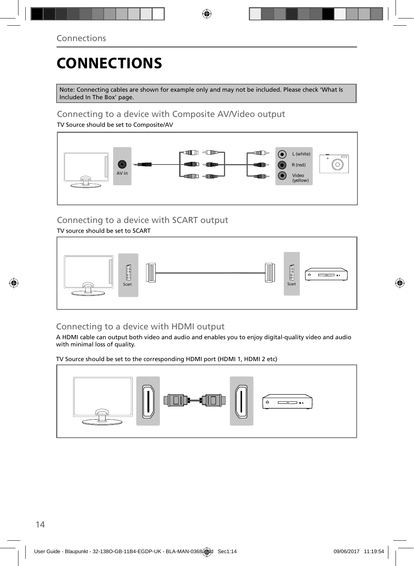# **CONNECTIONS**

Note: Connecting cables are shown for example only and may not be included. Please check 'What Is Included In The Box' page.

### Connecting to a device with Composite AV/Video output

TV Source should be set to Composite/AV



## Connecting to a device with SCART output

TV source should be set to SCART



### Connecting to a device with HDMI output

A HDMI cable can output both video and audio and enables you to enjoy digital-quality video and audio with minimal loss of quality.

TV Source should be set to the corresponding HDMI port (HDMI 1, HDMI 2 etc)

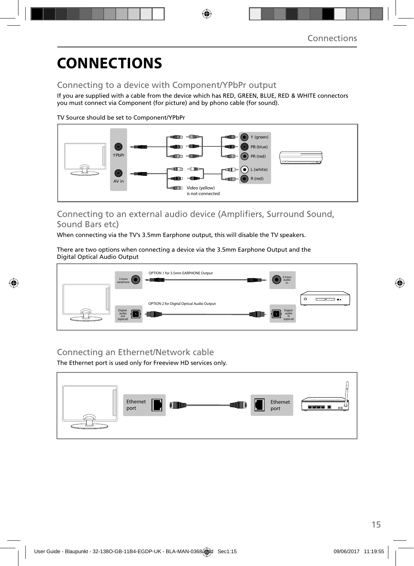# **CONNECTIONS**

### Connecting to a device with Component/YPbPr output

If you are supplied with a cable from the device which has RED, GREEN, BLUE, RED & WHITE connectors you must connect via Component (for picture) and by phono cable (for sound).

TV Source should be set to Component/YPbPr



### Connecting to an external audio device (Amplifiers, Surround Sound, Sound Bars etc)

When connecting via the TV's 3.5mm Earphone output, this will disable the TV speakers.

There are two options when connecting a device via the 3.5mm Earphone Output and the Digital Optical Audio Output



### Connecting an Ethernet/Network cable

The Ethernet port is used only for Freeview HD services only.

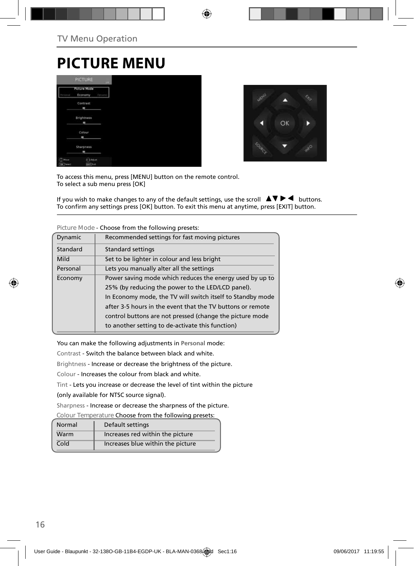# **PICTURE MENU**

|                    | <b>PICTURE</b>                 | <b>SHEET</b> |
|--------------------|--------------------------------|--------------|
| wea                | <b>Picture Mode</b><br>Economy | Dynama       |
|                    | Contrast<br>٠                  |              |
|                    | Brightness<br><b>MR</b>        |              |
|                    | Colour<br>$\blacksquare$       |              |
|                    | Sharpness<br>٠                 |              |
| Moure<br>OK Terect | <b>CAASUS</b><br>start Latt    |              |



To access this menu, press [MENU] button on the remote control. To select a sub menu press [OK]

If you wish to make changes to any of the default settings, use the scroll  $\Box \Box \blacktriangleright \blacktriangleleft$  buttons. To confirm any settings press [OK] button. To exit this menu at anytime, press [EXIT] button.

| Dynamic  | Recommended settings for fast moving pictures              |
|----------|------------------------------------------------------------|
| Standard | <b>Standard settings</b>                                   |
| Mild     | Set to be lighter in colour and less bright                |
| Personal | Lets you manually alter all the settings                   |
| Economy  | Power saving mode which reduces the energy used by up to   |
|          | 25% (by reducing the power to the LED/LCD panel).          |
|          | In Economy mode, the TV will switch itself to Standby mode |
|          | after 3-5 hours in the event that the TV buttons or remote |
|          | control buttons are not pressed (change the picture mode   |
|          | to another setting to de-activate this function)           |
|          |                                                            |

**Picture Mode** - Choose from the following presets:

You can make the following adjustments in **Personal** mode:

Contrast - Switch the balance between black and white.

Brightness - Increase or decrease the brightness of the picture.

Colour - Increases the colour from black and white.

Tint - Lets you increase or decrease the level of tint within the picture

(only available for NTSC source signal).

Sharpness - Increase or decrease the sharpness of the picture.

**Colour Temperature** Choose from the following presets:

| Normal | Default settings                  |
|--------|-----------------------------------|
| Warm   | Increases red within the picture  |
| Cold   | Increases blue within the picture |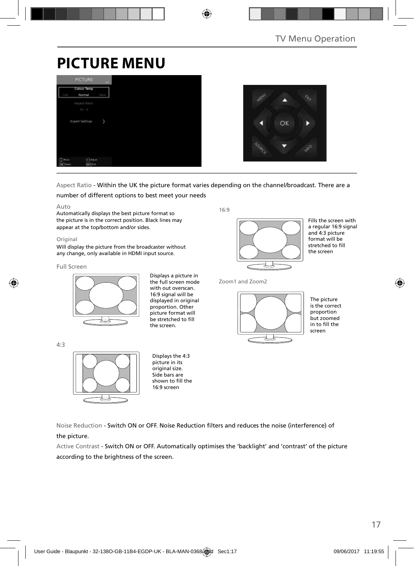# **PICTURE MENU**





### Aspect Ratio - Within the UK the picture format varies depending on the channel/broadcast. There are a

#### number of different options to best meet your needs

#### Auto

Automatically displays the best picture format so the picture is in the correct position. Black lines may appear at the top/bottom and/or sides.

#### **Original**

Will display the picture from the broadcaster without any change, only available in HDMI input source.

#### Full Screen

4:3



Displays a picture in the full screen mode with out overscan 16:9 signal will be displayed in original proportion. Other picture format will be stretched to fill the screen.

16:9



Fills the screen with a regular 16:9 signal and 4:3 picture format will be stretched to fill the screen

Zoom1 and Zoom2



The picture is the correct proportion but zoomed in to fill the screen



Displays the 4:3 picture in its original size. Side bars are shown to fill the 16:9 screen

Noise Reduction - Switch ON or OFF. Noise Reduction fi lters and reduces the noise (interference) of the picture.

Active Contrast - Switch ON or OFF. Automatically optimises the 'backlight' and 'contrast' of the picture according to the brightness of the screen.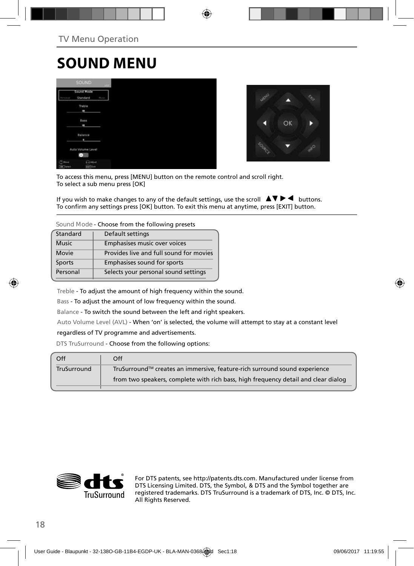# **SOUND MENU**

|                               | <b>SOUND:</b>                     |             |
|-------------------------------|-----------------------------------|-------------|
|                               | Sound Mode<br>Standard            | <b>Huru</b> |
|                               | Treble<br>$\blacksquare$          |             |
|                               | Bass<br>٠                         |             |
|                               | Balance<br>٠                      |             |
|                               | Auto Volume Level<br>÷            |             |
| $(2)$ Hout<br><b>DK</b> Tered | <b>CRASHE</b><br><b>EATT</b> Katt |             |



To access this menu, press [MENU] button on the remote control and scroll right. To select a sub menu press [OK]

If you wish to make changes to any of the default settings, use the scroll  $\Box \blacktriangledown \blacktriangleright \blacktriangleleft$  buttons. To confirm any settings press [OK] button. To exit this menu at anytime, press [EXIT] button.

**Sound Mode** - Choose from the following presets

| Standard     | Default settings                        |
|--------------|-----------------------------------------|
| <b>Music</b> | Emphasises music over voices            |
| Movie        | Provides live and full sound for movies |
| Sports       | Emphasises sound for sports             |
| Personal     | Selects your personal sound settings    |

Treble - To adjust the amount of high frequency within the sound.

Bass - To adjust the amount of low frequency within the sound.

Balance - To switch the sound between the left and right speakers.

Auto Volume Level (AVL) - When 'on' is selected, the volume will attempt to stay at a constant level

#### regardless of TV programme and advertisements.

DTS TruSurround - Choose from the following options:

| Off         | Off                                                                                |
|-------------|------------------------------------------------------------------------------------|
| TruSurround | TruSurround™ creates an immersive, feature-rich surround sound experience          |
|             | from two speakers, complete with rich bass, high frequency detail and clear dialog |
|             |                                                                                    |



For DTS patents, see http://patents.dts.com. Manufactured under license from DTS Licensing Limited. DTS, the Symbol, & DTS and the Symbol together are registered trademarks. DTS TruSurround is a trademark of DTS, Inc. © DTS, Inc. All Rights Reserved.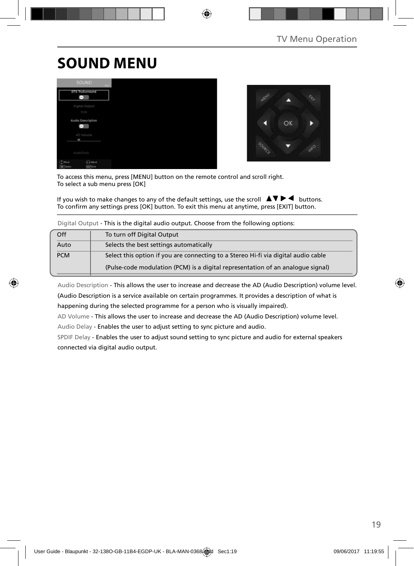# **SOUND MENU**





To access this menu, press [MENU] button on the remote control and scroll right. To select a sub menu press [OK]

If you wish to make changes to any of the default settings, use the scroll  $\blacktriangle \blacktriangledown \blacktriangleright \blacktriangleleft$  buttons. To confirm any settings press [OK] button. To exit this menu at anytime, press [EXIT] button.

| Digital Output - This is the digital audio output. Choose from the following options: |                                                                                    |  |  |
|---------------------------------------------------------------------------------------|------------------------------------------------------------------------------------|--|--|
| Off                                                                                   | To turn off Digital Output                                                         |  |  |
| Auto                                                                                  | Selects the best settings automatically                                            |  |  |
| <b>PCM</b>                                                                            | Select this option if you are connecting to a Stereo Hi-fi via digital audio cable |  |  |
|                                                                                       | (Pulse-code modulation (PCM) is a digital representation of an analogue signal)    |  |  |

Digital Output - This is the digital audio output. Choose from the following options:

Audio Description - This allows the user to increase and decrease the AD (Audio Description) volume level. (Audio Description is a service available on certain programmes. It provides a description of what is happening during the selected programme for a person who is visually impaired).

AD Volume - This allows the user to increase and decrease the AD (Audio Description) volume level.

Audio Delay - Enables the user to adjust setting to sync picture and audio.

SPDIF Delay - Enables the user to adjust sound setting to sync picture and audio for external speakers connected via digital audio output.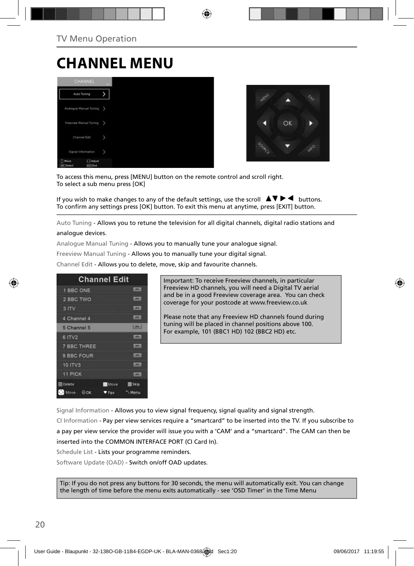# **CHANNEL MENU**





To access this menu, press [MENU] button on the remote control and scroll right. To select a sub menu press [OK]

If you wish to make changes to any of the default settings, use the scroll  $\Box \blacktriangledown \blacktriangleright \blacktriangleleft$  buttons. To confirm any settings press [OK] button. To exit this menu at anytime, press [EXIT] button.

Auto Tuning - Allows you to retune the television for all digital channels, digital radio stations and analogue devices.

Analogue Manual Tuning - Allows you to manually tune your analogue signal.

Freeview Manual Tuning - Allows you to manually tune your digital signal.

Channel Edit - Allows you to delete, move, skip and favourite channels.

| <b>Channel Edit</b> |             |                |
|---------------------|-------------|----------------|
| 1 BBC ONE           |             | <b>LIBRARY</b> |
| 2 BBC TWO           |             | <b>LOVE</b>    |
| 3 ITV               |             | <b>DTET</b>    |
| 4 Channel 4         |             | <b>LIDENT</b>  |
| 5 Channel 5         |             | $[$ pre $]$    |
| 6 ITV2              |             | 10000          |
| <b>7 BBC THREE</b>  |             | <b>LOTH</b>    |
| 9 BBC FOUR          |             | <b>DIV-</b>    |
| 10 ITV3             |             | <b>COTWIL</b>  |
| 11 PICK             |             | <b>COTHER</b>  |
| <b>Delete</b>       | <b>Move</b> | <b>Skip</b>    |
| Move<br>$\Theta$ OK | ♥ Fav       | Menu           |

Important: To receive Freeview channels, in particular Freeview HD channels, you will need a Digital TV aerial and be in a good Freeview coverage area. You can check coverage for your postcode at www.freeview.co.uk

Please note that any Freeview HD channels found during tuning will be placed in channel positions above 100. For example, 101 (BBC1 HD) 102 (BBC2 HD) etc.

Signal Information - Allows you to view signal frequency, signal quality and signal strength.

CI Information - Pay per view services require a "smartcard" to be inserted into the TV. If you subscribe to a pay per view service the provider will issue you with a 'CAM' and a "smartcard". The CAM can then be inserted into the COMMON INTERFACE PORT (CI Card In).

Schedule List - Lists your programme reminders.

Software Update (OAD) - Switch on/off OAD updates.

Tip: If you do not press any buttons for 30 seconds, the menu will automatically exit. You can change the length of time before the menu exits automatically - see 'OSD Timer' in the Time Menu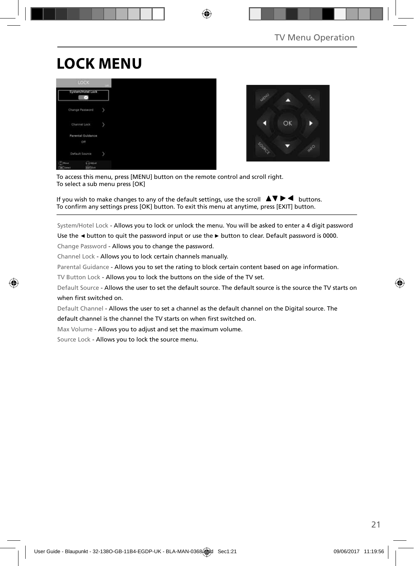# **LOCK MENU**





To access this menu, press [MENU] button on the remote control and scroll right. To select a sub menu press [OK]

If you wish to make changes to any of the default settings, use the scroll  $\Box \blacktriangledown \blacktriangleright \blacktriangleleft$  buttons. To confirm any settings press [OK] button. To exit this menu at anytime, press [EXIT] button.

System/Hotel Lock - Allows you to lock or unlock the menu. You will be asked to enter a 4 digit password

Use the **◄** button to quit the password input or use the **►** button to clear. Default password is 0000.

Change Password - Allows you to change the password.

Channel Lock - Allows you to lock certain channels manually.

Parental Guidance - Allows you to set the rating to block certain content based on age information.

TV Button Lock - Allows you to lock the buttons on the side of the TV set.

Default Source - Allows the user to set the default source. The default source is the source the TV starts on when first switched on.

Default Channel - Allows the user to set a channel as the default channel on the Digital source. The

default channel is the channel the TV starts on when first switched on.

Max Volume - Allows you to adjust and set the maximum volume.

Source Lock - Allows you to lock the source menu.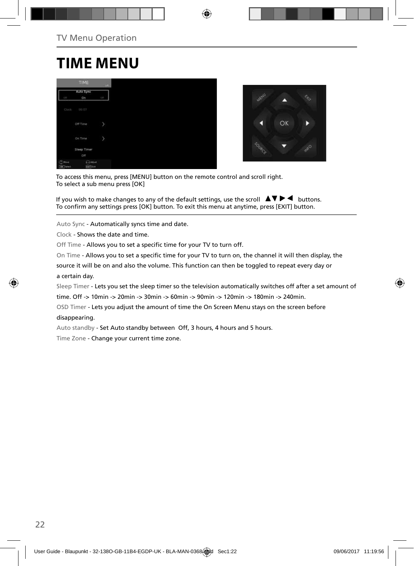# **TIME MENU**

|                               | TIME                       | $-146.7$   |
|-------------------------------|----------------------------|------------|
| GTE                           | Auto Sync<br>On            | <b>CEP</b> |
| Clock                         | 00:07                      |            |
|                               | Off Time                   | p          |
|                               | On Time                    | þ          |
|                               | Sleep Timer<br>Off         |            |
| $(2)$ Hout<br><b>CK</b> Twent | <b>COASINE</b><br>Earl Cut |            |



To access this menu, press [MENU] button on the remote control and scroll right. To select a sub menu press [OK]

If you wish to make changes to any of the default settings, use the scroll  $\Box \blacktriangledown \blacktriangleright \blacktriangleleft$  buttons. To confirm any settings press [OK] button. To exit this menu at anytime, press [EXIT] button.

Auto Sync - Automatically syncs time and date.

Clock - Shows the date and time.

Off Time - Allows you to set a specific time for your TV to turn off.

On Time - Allows you to set a specific time for your TV to turn on, the channel it will then display, the

source it will be on and also the volume. This function can then be toggled to repeat every day or a certain day.

Sleep Timer - Lets you set the sleep timer so the television automatically switches off after a set amount of

time. Off -> 10min -> 20min -> 30min -> 60min -> 90min -> 120min -> 180min -> 240min.

OSD Timer - Lets you adjust the amount of time the On Screen Menu stays on the screen before disappearing.

Auto standby - Set Auto standby between Off, 3 hours, 4 hours and 5 hours.

Time Zone - Change your current time zone.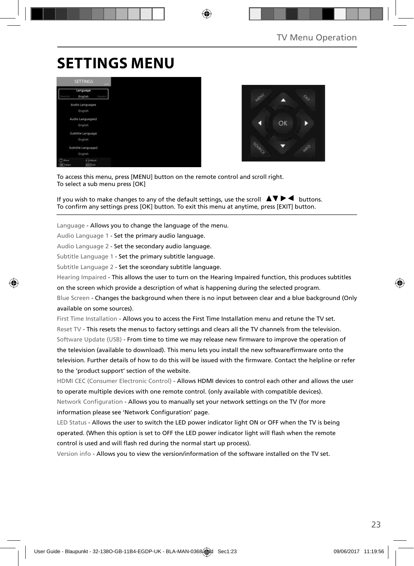# **SETTINGS MENU**





To access this menu, press [MENU] button on the remote control and scroll right. To select a sub menu press [OK]

If you wish to make changes to any of the default settings, use the scroll  $\Box \blacktriangledown \blacktriangleright \blacktriangleleft$  buttons. To confirm any settings press [OK] button. To exit this menu at anytime, press [EXIT] button.

Language - Allows you to change the language of the menu.

Audio Language 1 - Set the primary audio language.

Audio Language 2 - Set the secondary audio language.

Subtitle Language 1 - Set the primary subtitle language.

Subtitle Language 2 - Set the sceondary subtitle language.

Hearing Impaired - This allows the user to turn on the Hearing Impaired function, this produces subtitles

on the screen which provide a description of what is happening during the selected program.

Blue Screen - Changes the background when there is no input between clear and a blue background (Only available on some sources).

First Time Installation - Allows you to access the First Time Installation menu and retune the TV set. Reset TV - This resets the menus to factory settings and clears all the TV channels from the television. Software Update (USB) - From time to time we may release new firmware to improve the operation of the television (available to download). This menu lets you install the new software/firmware onto the television. Further details of how to do this will be issued with the firmware. Contact the helpline or refer to the 'product support' section of the website.

HDMI CEC (Consumer Electronic Control) - Allows HDMI devices to control each other and allows the user to operate multiple devices with one remote control. (only available with compatible devices). Network Configuration - Allows you to manually set your network settings on the TV (for more information please see 'Network Configuration' page.

LED Status - Allows the user to switch the LED power indicator light ON or OFF when the TV is being operated. (When this option is set to OFF the LED power indicator light will flash when the remote control is used and will flash red during the normal start up process).

Version info - Allows you to view the version/information of the software installed on the TV set.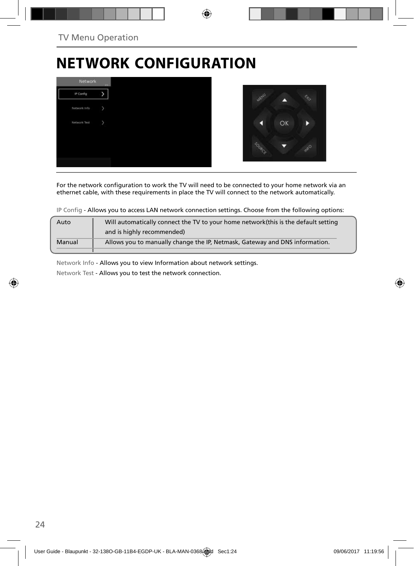# **NETWORK CONFIGURATION**



For the network configuration to work the TV will need to be connected to your home network via an ethernet cable, with these requirements in place the TV will connect to the network automatically.

IP Config - Allows you to access LAN network connection settings. Choose from the following options:

| Auto   | Will automatically connect the TV to your home network (this is the default setting |
|--------|-------------------------------------------------------------------------------------|
|        | and is highly recommended)                                                          |
| Manual | Allows you to manually change the IP, Netmask, Gateway and DNS information.         |
|        |                                                                                     |

Network Info - Allows you to view Information about network settings.

Network Test - Allows you to test the network connection.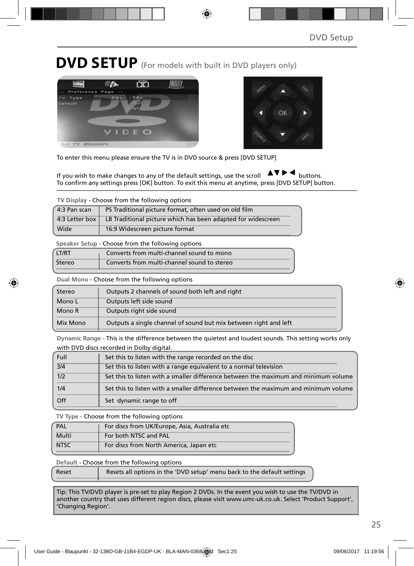## **DVD SETUP** (For models with built in DVD players only)





To enter this menu please ensure the TV is in DVD source & press [DVD SETUP]

If you wish to make changes to any of the default settings, use the scroll  $\Delta \nabla \blacktriangleright$  buttons. To confirm any settings press [OK] button. To exit this menu at anytime, press [DVD SETUP] button.

**TV Display** - Choose from the following options

| 4:3 Pan scan   | PS Traditional picture format, often used on old film        |
|----------------|--------------------------------------------------------------|
| 4:3 Letter box | LB Traditional picture which has been adapted for widescreen |
| Wide           | 16:9 Widescreen picture format                               |

**Speaker Setup** - Choose from the following options

| LT/RT  | Converts from multi-channel sound to mono   |
|--------|---------------------------------------------|
| Stereo | Converts from multi-channel sound to stereo |

**Dual Mono** - Choose from the following options

| Stereo   | Outputs 2 channels of sound both left and right                  |
|----------|------------------------------------------------------------------|
| Mono L   | Outputs left side sound                                          |
| Mono R   | Outputs right side sound                                         |
| Mix Mono | Outputs a single channel of sound but mix between right and left |

**Dynamic Range** - This is the difference between the quietest and loudest sounds. This setting works only with DVD discs recorded in Dolby digital.

| Full | Set this to listen with the range recorded on the disc                              |
|------|-------------------------------------------------------------------------------------|
| 3/4  | Set this to listen with a range equivalent to a normal television                   |
| 1/2  | Set this to listen with a smaller difference between the maximum and minimum volume |
| 1/4  | Set this to listen with a smaller difference between the maximum and minimum volume |
| Off  | Set dynamic range to off                                                            |

**TV Type** - Choose from the following options

| PAL         | For discs from UK/Europe, Asia, Australia etc |
|-------------|-----------------------------------------------|
| Multi       | For both NTSC and PAL                         |
| <b>NTSC</b> | For discs from North America, Japan etc       |

**Default** - Choose from the following options

| Reset | Resets all options in the 'DVD setup' menu back to the default settings |
|-------|-------------------------------------------------------------------------|
|       |                                                                         |

Tip: This TV/DVD player is pre-set to play Region 2 DVDs. In the event you wish to use the TV/DVD in another country that uses different region discs, please visit www.umc-uk.co.uk. Select 'Product Support', 'Changing Region'.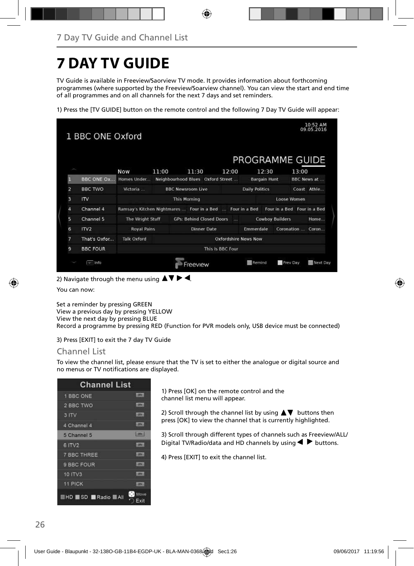# **7 DAY TV GUIDE**

TV Guide is available in Freeview/Saorview TV mode. It provides information about forthcoming programmes (where supported by the Freeview/Soarview channel). You can view the start and end time of all programmes and on all channels for the next 7 days and set reminders.

1) Press the [TV GUIDE] button on the remote control and the following 7 Day TV Guide will appear:

|                         |                            |                    |       |                                            |                             | PROGRAMME GUIDE       |                             |             |             |
|-------------------------|----------------------------|--------------------|-------|--------------------------------------------|-----------------------------|-----------------------|-----------------------------|-------------|-------------|
|                         |                            | <b>Now</b>         | 11:00 | 11:30                                      | 12:00                       |                       | 12:30                       | 13:00       |             |
| F                       | <b>BBC ONE Ox</b>          | Homes Under        |       | Neighbourhood Blues Oxford Street          |                             |                       | <b>Bargain Hunt</b>         |             | BBC News at |
| $\overline{a}$          | <b>BBC TWO</b>             | Victoria           |       | <b>BBC Newsroom Live</b>                   |                             | <b>Daily Politics</b> |                             |             | Coast Athle |
| $\overline{\mathbf{3}}$ | $\mathsf{I}^{\mathsf{IV}}$ |                    |       | <b>This Morning</b>                        |                             |                       |                             | Loose Women |             |
| 4                       | Channel 4                  |                    |       | Ramsay's Kitchen Nightmares  Four in a Bed |                             | Four in a Bed         | Four in a Bed Four in a Bed |             |             |
| 5                       | Channel 5                  | The Wright Stuff   |       | <b>GPs: Behind Closed Doors</b>            | <b>TAX</b>                  |                       | <b>Cowboy Builders</b>      |             | Home        |
| 6                       | ITV2                       | <b>Royal Pains</b> |       | <b>Dinner Date</b>                         |                             | Emmerdale             |                             | Coronation  | Coron       |
| 7                       | That's Oxfor               | <b>Talk Oxford</b> |       |                                            | <b>Oxfordshire News Now</b> |                       |                             |             |             |
| 9                       | <b>BBC FOUR</b>            | This Is BBC Four   |       |                                            |                             |                       |                             |             |             |

2) Navigate through the menu using  $\blacktriangle \blacktriangledown \blacktriangleright \blacktriangleleft$ .

You can now:

Set a reminder by pressing GREEN View a previous day by pressing YELLOW View the next day by pressing BLUE Record a programme by pressing RED (Function for PVR models only, USB device must be connected)

3) Press [EXIT] to exit the 7 day TV Guide

### Channel List

To view the channel list, please ensure that the TV is set to either the analogue or digital source and no menus or TV notifications are displayed.

| <b>Channel List</b>      |                |
|--------------------------|----------------|
| 1 BBC ONE                | <b>SERVICE</b> |
| 2 BBC TWO                | <b>LETKS</b>   |
| 3 ITV                    | LETER A        |
| 4 Channel 4              | <b>CFUL</b>    |
| 5 Channel 5              | <b>Lignal</b>  |
| 6 ITV2                   | <b>ISBN</b>    |
| <b>7 BBC THREE</b>       | <b>LOTAL</b>   |
| 9 BBC FOUR               | <b>Little</b>  |
| <b>10 ITV3</b>           | <b>IDEA</b>    |
| 11 PICK                  | <b>HOTMA</b>   |
| <b>EHD SD Radio BAII</b> | Move<br>Exit   |

1) Press [OK] on the remote control and the channel list menu will appear.

2) Scroll through the channel list by using  $\blacktriangle \blacktriangledown$  buttons then press [OK] to view the channel that is currently highlighted.

3) Scroll through different types of channels such as Freeview/ALL/ Digital TV/Radio/data and HD channels by using  $\blacklozenge$  buttons.

4) Press [EXIT] to exit the channel list.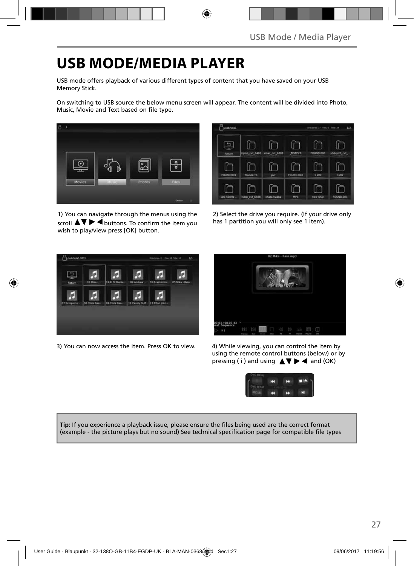# **USB MODE/MEDIA PLAYER**

USB mode offers playback of various different types of content that you have saved on your USB Memory Stick.

On switching to USB source the below menu screen will appear. The content will be divided into Photo, Music, Movie and Text based on file type.



1) You can navigate through the menus using the scroll  $\triangle \blacktriangledown \blacktriangleright \blacktriangleleft$  buttons. To confirm the item you wish to play/view press [OK] button.



2) Select the drive you require. (If your drive only has 1 partition you will only see 1 item).



3) You can now access the item. Press OK to view. 4) While viewing, you can control the item by



using the remote control buttons (below) or by pressing (i) and using  $\triangle \blacktriangledown \blacktriangleright \blacktriangleleft$  and (OK)



**Tip:** If you experience a playback issue, please ensure the files being used are the correct format (example - the picture plays but no sound) See technical specification page for compatible file types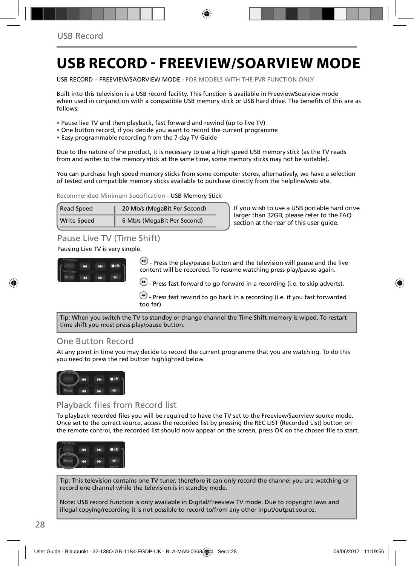# **USB RECORD - FREEVIEW/SOARVIEW MODE**

USB RECORD – FREEVIEW/SAORVIEW MODE - FOR MODELS WITH THE PVR FUNCTION ONLY

Built into this television is a USB record facility. This function is available in Freeview/Soarview mode when used in conjunction with a compatible USB memory stick or USB hard drive. The benefits of this are as follows:

- Pause live TV and then playback, fast forward and rewind (up to live TV)
- One button record, if you decide you want to record the current programme
- Easy programmable recording from the 7 day TV Guide

Due to the nature of the product, it is necessary to use a high speed USB memory stick (as the TV reads from and writes to the memory stick at the same time, some memory sticks may not be suitable).

You can purchase high speed memory sticks from some computer stores, alternatively, we have a selection of tested and compatible memory sticks available to purchase directly from the helpline/web site.

Recommended Minimum Specification - USB Memory Stick

| Read Speed         | 20 Mb/s (MegaBit Per Second) |  |
|--------------------|------------------------------|--|
| <b>Write Speed</b> | 6 Mb/s (MegaBit Per Second)  |  |

**If you wish to use a USB portable hard drive larger than 32GB, please refer to the FAQ section at the rear of this user guide.**

### Pause Live TV (Time Shift)

Pausing Live TV is very simple.



 $\left(\blacksquare\right)$  - Press the play/pause button and the television will pause and the live content will be recorded. To resume watching press play/pause again.

 $\bigcirc$  - Press fast forward to go forward in a recording (i.e. to skip adverts).

 $\bigcirc$  - Press fast rewind to go back in a recording (i.e. if you fast forwarded too far).

Tip: When you switch the TV to standby or change channel the Time Shift memory is wiped. To restart time shift you must press play/pause button.

### One Button Record

At any point in time you may decide to record the current programme that you are watching. To do this you need to press the red button highlighted below.



### Playback files from Record list

To playback recorded files you will be required to have the TV set to the Freeview/Saorview source mode. Once set to the correct source, access the recorded list by pressing the REC LIST (Recorded List) button on the remote control, the recorded list should now appear on the screen, press OK on the chosen file to start.



Tip: This television contains one TV tuner, therefore it can only record the channel you are watching or record one channel while the television is in standby mode.

Note: USB record function is only available in Digital/Freeview TV mode. Due to copyright laws and illegal copying/recording it is not possible to record to/from any other input/output source.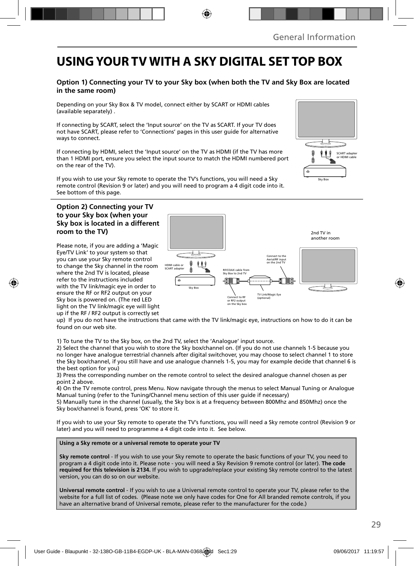## **USING YOUR TV WITH A SKY DIGITAL SET TOP BOX**

#### **Option 1) Connecting your TV to your Sky box (when both the TV and Sky Box are located in the same room)**

Depending on your Sky Box & TV model, connect either by SCART or HDMI cables (available separately) .

If connecting by SCART, select the 'Input source' on the TV as SCART. If your TV does not have SCART, please refer to 'Connections' pages in this user guide for alternative ways to connect.

If connecting by HDMI, select the 'Input source' on the TV as HDMI (if the TV has more than 1 HDMI port, ensure you select the input source to match the HDMI numbered port on the rear of the TV).

If you wish to use your Sky remote to operate the TV's functions, you will need a Sky remote control (Revision 9 or later) and you will need to program a 4 digit code into it. See bottom of this page.

#### **Option 2) Connecting your TV to your Sky box (when your Sky box is located in a different room to the TV)**

Please note, if you are adding a 'Magic Eye/TV Link' to your system so that you can use your Sky remote control to change the Sky channel in the room where the 2nd TV is located, please refer to the instructions included with the TV link/magic eye in order to ensure the RF or RF2 output on your Sky box is powered on. (The red LED light on the TV link/magic eye will light up if the RF / RF2 output is correctly set



up) If you do not have the instructions that came with the TV link/magic eye, instructions on how to do it can be found on our web site.

1) To tune the TV to the Sky box, on the 2nd TV, select the 'Analogue' input source.

2) Select the channel that you wish to store the Sky box/channel on. (If you do not use channels 1-5 because you no longer have analogue terrestrial channels after digital switchover, you may choose to select channel 1 to store the Sky box/channel, if you still have and use analogue channels 1-5, you may for example decide that channel 6 is the best option for you)

3) Press the corresponding number on the remote control to select the desired analogue channel chosen as per point 2 above.

4) On the TV remote control, press Menu. Now navigate through the menus to select Manual Tuning or Analogue Manual tuning (refer to the Tuning/Channel menu section of this user guide if necessary)

5) Manually tune in the channel (usually, the Sky box is at a frequency between 800Mhz and 850Mhz) once the Sky box/channel is found, press 'OK' to store it.

If you wish to use your Sky remote to operate the TV's functions, you will need a Sky remote control (Revision 9 or later) and you will need to programme a 4 digit code into it. See below.

**Using a Sky remote or a universal remote to operate your TV** 

**Sky remote control** - If you wish to use your Sky remote to operate the basic functions of your TV, you need to program a 4 digit code into it. Please note - you will need a Sky Revision 9 remote control (or later). **The code required for this television is 2134.** If you wish to upgrade/replace your existing Sky remote control to the latest version, you can do so on our website.

**Universal remote control** - If you wish to use a Universal remote control to operate your TV, please refer to the website for a full list of codes. (Please note we only have codes for One for All branded remote controls, if you have an alternative brand of Universal remote, please refer to the manufacturer for the code.)

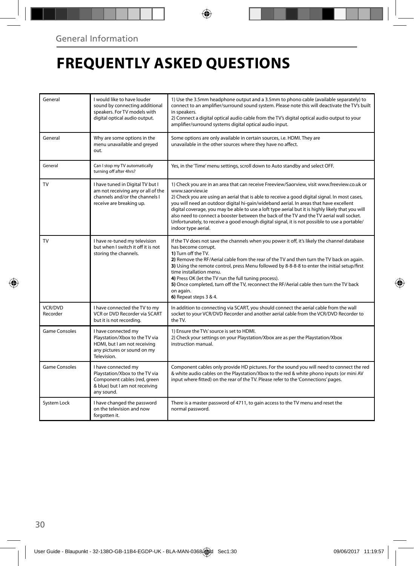# **FREQUENTLY ASKED QUESTIONS**

| General             | I would like to have louder<br>sound by connecting additional<br>speakers. For TV models with<br>digital optical audio output.        | 1) Use the 3.5mm headphone output and a 3.5mm to phono cable (available separately) to<br>connect to an amplifier/surround sound system. Please note this will deactivate the TV's built<br>in speakers.<br>2) Connect a digital optical audio cable from the TV's digital optical audio output to your<br>amplifier/surround systems digital optical audio input.                                                                                                                                                                                                                                                                  |  |  |
|---------------------|---------------------------------------------------------------------------------------------------------------------------------------|-------------------------------------------------------------------------------------------------------------------------------------------------------------------------------------------------------------------------------------------------------------------------------------------------------------------------------------------------------------------------------------------------------------------------------------------------------------------------------------------------------------------------------------------------------------------------------------------------------------------------------------|--|--|
| General             | Why are some options in the<br>menu unavailable and greyed<br>out.                                                                    | Some options are only available in certain sources, i.e. HDMI. They are<br>unavailable in the other sources where they have no affect.                                                                                                                                                                                                                                                                                                                                                                                                                                                                                              |  |  |
| General             | Can I stop my TV automatically<br>turning off after 4hrs?                                                                             | Yes, in the 'Time' menu settings, scroll down to Auto standby and select OFF.                                                                                                                                                                                                                                                                                                                                                                                                                                                                                                                                                       |  |  |
| TV                  | I have tuned in Digital TV but I<br>am not receiving any or all of the<br>channels and/or the channels I<br>receive are breaking up.  | 1) Check you are in an area that can receive Freeview/Saorview, visit www.freeview.co.uk or<br>www.saorview.ie<br>2) Check you are using an aerial that is able to receive a good digital signal. In most cases,<br>you will need an outdoor digital hi-gain/wideband aerial. In areas that have excellent<br>digital coverage, you may be able to use a loft type aerial but it is highly likely that you will<br>also need to connect a booster between the back of the TV and the TV aerial wall socket.<br>Unfortunately, to receive a good enough digital signal, it is not possible to use a portable/<br>indoor type aerial. |  |  |
| TV                  | I have re-tuned my television<br>but when I switch it off it is not<br>storing the channels.                                          | If the TV does not save the channels when you power it off, it's likely the channel database<br>has become corrupt.<br>1) Turn off the TV.<br>2) Remove the RF/Aerial cable from the rear of the TV and then turn the TV back on again.<br>3) Using the remote control, press Menu followed by 8-8-8-8 to enter the initial setup/first<br>time installation menu.<br>4) Press OK (let the TV run the full tuning process).<br>5) Once completed, turn off the TV, reconnect the RF/Aerial cable then turn the TV back<br>on again.<br>6) Repeat steps 3 & 4.                                                                       |  |  |
| VCR/DVD<br>Recorder | I have connected the TV to my<br>VCR or DVD Recorder via SCART<br>but it is not recording.                                            | In addition to connecting via SCART, you should connect the aerial cable from the wall<br>socket to your VCR/DVD Recorder and another aerial cable from the VCR/DVD Recorder to<br>the TV.                                                                                                                                                                                                                                                                                                                                                                                                                                          |  |  |
| Game Consoles       | I have connected my<br>Playstation/Xbox to the TV via<br>HDMI, but I am not receiving<br>any pictures or sound on my<br>Television.   | 1) Ensure the TVs' source is set to HDMI.<br>2) Check your settings on your Playstation/Xbox are as per the Playstation/Xbox<br>instruction manual.                                                                                                                                                                                                                                                                                                                                                                                                                                                                                 |  |  |
| Game Consoles       | I have connected my<br>Playstation/Xbox to the TV via<br>Component cables (red, green<br>& blue) but I am not receiving<br>any sound. | Component cables only provide HD pictures. For the sound you will need to connect the red<br>& white audio cables on the Playstation/Xbox to the red & white phono inputs (or mini AV<br>input where fitted) on the rear of the TV. Please refer to the 'Connections' pages.                                                                                                                                                                                                                                                                                                                                                        |  |  |
| System Lock         | I have changed the password<br>on the television and now<br>forgotten it.                                                             | There is a master password of 4711, to gain access to the TV menu and reset the<br>normal password.                                                                                                                                                                                                                                                                                                                                                                                                                                                                                                                                 |  |  |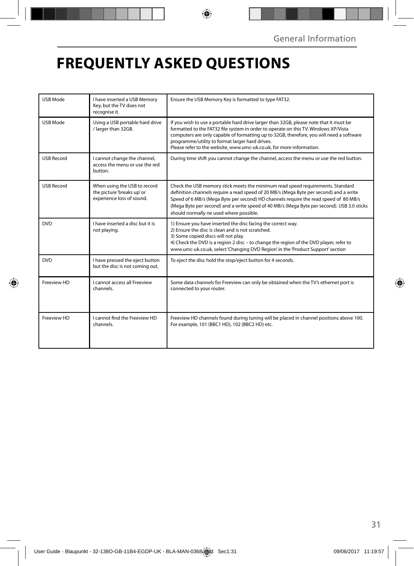# **FREQUENTLY ASKED QUESTIONS**

| <b>USB Mode</b>   | I have inserted a USB Memory<br>Key, but the TV does not<br>recognise it.               | Ensure the USB Memory Key is formatted to type FAT32.                                                                                                                                                                                                                                                                                                                                                     |  |  |
|-------------------|-----------------------------------------------------------------------------------------|-----------------------------------------------------------------------------------------------------------------------------------------------------------------------------------------------------------------------------------------------------------------------------------------------------------------------------------------------------------------------------------------------------------|--|--|
| USB Mode          | Using a USB portable hard drive<br>/ larger than 32GB.                                  | If you wish to use a portable hard drive larger than 32GB, please note that it must be<br>formatted to the FAT32 file system in order to operate on this TV. Windows XP/Vista<br>computers are only capable of formatting up to 32GB, therefore, you will need a software<br>programme/utility to format larger hard drives.<br>Please refer to the website, www.umc-uk.co.uk, for more information.      |  |  |
| <b>USB Record</b> | I cannot change the channel,<br>access the menu or use the red<br>button.               | During time shift you cannot change the channel, access the menu or use the red button.                                                                                                                                                                                                                                                                                                                   |  |  |
| <b>USB Record</b> | When using the USB to record<br>the picture 'breaks up' or<br>experience loss of sound. | Check the USB memory stick meets the minimum read speed requirements. Standard<br>definition channels require a read speed of 20 MB/s (Mega Byte per second) and a write<br>Speed of 6 MB/s (Mega Byte per second) HD channels require the read speed of 80 MB/s<br>(Mega Byte per second) and a write speed of 40 MB/s (Mega Byte per second). USB 3.0 sticks<br>should normally ne used where possible. |  |  |
| <b>DVD</b>        | I have inserted a disc but it is<br>not playing.                                        | 1) Ensure you have inserted the disc facing the correct way.<br>2) Ensure the disc is clean and is not scratched.<br>3) Some copied discs will not play.<br>4) Check the DVD is a region 2 disc - to change the region of the DVD player, refer to<br>www.umc-uk.co.uk, select 'Changing DVD Region' in the 'Product Support' section                                                                     |  |  |
| <b>DVD</b>        | I have pressed the eject button<br>but the disc is not coming out.                      | To eject the disc hold the stop/eject button for 4 seconds.                                                                                                                                                                                                                                                                                                                                               |  |  |
| Freeview HD       | <b>Lcannot access all Freeview</b><br>channels.                                         | Some data channels for Freeview can only be obtained when the TV's ethernet port is<br>connected to your router.                                                                                                                                                                                                                                                                                          |  |  |
| Freeview HD       | I cannot find the Freeview HD<br>channels.                                              | Freeview HD channels found during tuning will be placed in channel positions above 100.<br>For example, 101 (BBC1 HD), 102 (BBC2 HD) etc.                                                                                                                                                                                                                                                                 |  |  |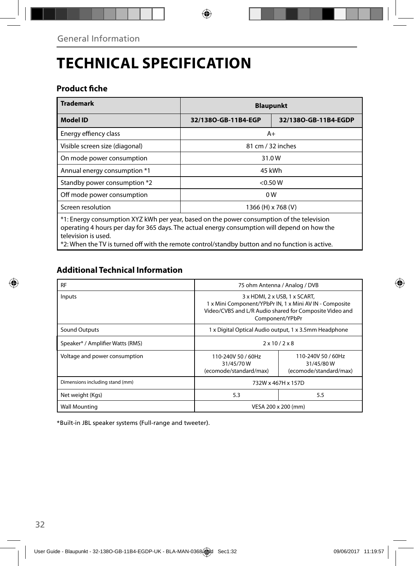# **TECHNICAL SPECIFICATION**

### **Product fiche**

| <b>Trademark</b>                                                                                                                                                                                           | <b>Blaupunkt</b>    |                      |  |  |
|------------------------------------------------------------------------------------------------------------------------------------------------------------------------------------------------------------|---------------------|----------------------|--|--|
| <b>Model ID</b>                                                                                                                                                                                            | 32/1380-GB-11B4-EGP | 32/1380-GB-11B4-EGDP |  |  |
| Energy effiency class<br>$A+$                                                                                                                                                                              |                     |                      |  |  |
| Visible screen size (diagonal)                                                                                                                                                                             | 81 cm / 32 inches   |                      |  |  |
| On mode power consumption                                                                                                                                                                                  | 31.0W               |                      |  |  |
| Annual energy consumption *1                                                                                                                                                                               | 45 kWh              |                      |  |  |
| Standby power consumption *2                                                                                                                                                                               | < 0.50 W            |                      |  |  |
| Off mode power consumption                                                                                                                                                                                 | 0 <sub>W</sub>      |                      |  |  |
| Screen resolution                                                                                                                                                                                          | 1366 (H) x 768 (V)  |                      |  |  |
| *1: Energy consumption XYZ kWh per year, based on the power consumption of the television<br>and the second second second to the CD show The above language concentration will depend on have the second a |                     |                      |  |  |

operating 4 hours per day for 365 days. The actual energy consumption will depend on how the television is used.

\*2: When the TV is turned off with the remote control/standby button and no function is active.

### **Additional Technical Information**

| <b>RF</b>                        | 75 ohm Antenna / Analog / DVB                                                                                                                                                               |                                                           |  |
|----------------------------------|---------------------------------------------------------------------------------------------------------------------------------------------------------------------------------------------|-----------------------------------------------------------|--|
| Inputs                           | $3 \times$ HDMI, $2 \times$ USB, 1 $\times$ SCART,<br>1 x Mini Component/YPbPr IN, 1 x Mini AV IN - Composite<br>Video/CVBS and L/R Audio shared for Composite Video and<br>Component/YPbPr |                                                           |  |
| Sound Outputs                    | 1 x Digital Optical Audio output, 1 x 3.5mm Headphone                                                                                                                                       |                                                           |  |
| Speaker* / Amplifier Watts (RMS) | $2 \times 10 / 2 \times 8$                                                                                                                                                                  |                                                           |  |
| Voltage and power consumption    | 110-240V 50 / 60Hz<br>31/45/70W<br>(ecomode/standard/max)                                                                                                                                   | 110-240V 50 / 60Hz<br>31/45/80W<br>(ecomode/standard/max) |  |
| Dimensions including stand (mm)  | 732W x 467H x 157D                                                                                                                                                                          |                                                           |  |
| Net weight (Kgs)                 | 5.3                                                                                                                                                                                         | 5.5                                                       |  |
| <b>Wall Mounting</b>             | VESA 200 x 200 (mm)                                                                                                                                                                         |                                                           |  |

\*Built-in JBL speaker systems (Full-range and tweeter).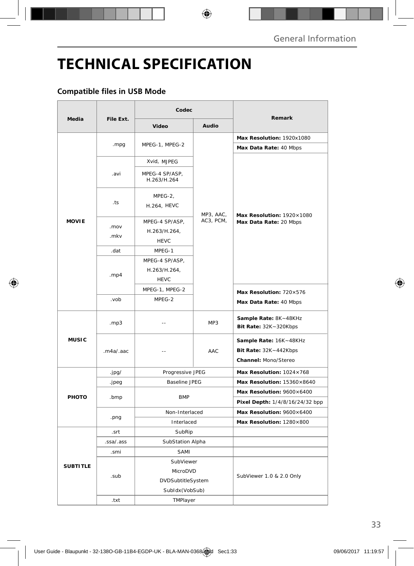# **TECHNICAL SPECIFICATION**

### **Compatible files in USB Mode**

|                 |                  | Codec                |                                                                                                                                                                                                                                                            |                                                                         |  |
|-----------------|------------------|----------------------|------------------------------------------------------------------------------------------------------------------------------------------------------------------------------------------------------------------------------------------------------------|-------------------------------------------------------------------------|--|
| Media           | File Ext.        | Video                | Audio                                                                                                                                                                                                                                                      | Remark                                                                  |  |
| <b>MOVIE</b>    |                  |                      | MPEG-1, MPEG-2<br>Xvid, MJPEG<br>MPEG-4 SP/ASP,<br>H.263/H.264<br>MPEG-2,<br>H.264, HEVC<br>MP3, AAC,<br>AC3, PCM,<br>MPEG-4 SP/ASP,<br>H.263/H.264,<br><b>HEVC</b><br>MPEG-1<br>MPEG-4 SP/ASP,<br>H.263/H.264,<br><b>HEVC</b><br>MPEG-1, MPEG-2<br>MPEG-2 | Max Resolution: 1920x1080                                               |  |
|                 | .mpg             |                      |                                                                                                                                                                                                                                                            | Max Data Rate: 40 Mbps                                                  |  |
|                 | .avi             |                      |                                                                                                                                                                                                                                                            | Max Resolution: 1920×1080<br>Max Data Rate: 20 Mbps                     |  |
|                 |                  |                      |                                                                                                                                                                                                                                                            |                                                                         |  |
|                 | .ts              |                      |                                                                                                                                                                                                                                                            |                                                                         |  |
|                 | .mov<br>.mkv     |                      |                                                                                                                                                                                                                                                            |                                                                         |  |
|                 | .dat             |                      |                                                                                                                                                                                                                                                            |                                                                         |  |
|                 | . $mp4$          |                      |                                                                                                                                                                                                                                                            |                                                                         |  |
|                 |                  |                      |                                                                                                                                                                                                                                                            | Max Resolution: 720×576                                                 |  |
|                 | .vob             |                      |                                                                                                                                                                                                                                                            | Max Data Rate: 40 Mbps                                                  |  |
| <b>MUSIC</b>    | .mp3             | $\sim$               | MP3                                                                                                                                                                                                                                                        | Sample Rate: 8K~48KHz<br>Bit Rate: 32K~320Kbps                          |  |
|                 | .m4a/.aac        | $-$                  | AAC                                                                                                                                                                                                                                                        | Sample Rate: 16K~48KHz<br>Bit Rate: 32K~442Kbps<br>Channel: Mono/Stereo |  |
|                 | .jpg/            | Progressive JPEG     |                                                                                                                                                                                                                                                            | Max Resolution: 1024×768                                                |  |
| PHOTO           | .jpeg            | <b>Baseline JPEG</b> |                                                                                                                                                                                                                                                            | Max Resolution: 15360×8640                                              |  |
|                 | .bmp             | <b>BMP</b>           |                                                                                                                                                                                                                                                            | Max Resolution: 9600×6400                                               |  |
|                 |                  |                      |                                                                                                                                                                                                                                                            | Pixel Depth: 1/4/8/16/24/32 bpp                                         |  |
|                 | .png             | Non-Interlaced       |                                                                                                                                                                                                                                                            | Max Resolution: 9600×6400                                               |  |
|                 |                  | Interlaced           |                                                                                                                                                                                                                                                            | Max Resolution: 1280×800                                                |  |
|                 | .srt             | SubRip               |                                                                                                                                                                                                                                                            |                                                                         |  |
|                 | .ssa/.ass        | SubStation Alpha     |                                                                                                                                                                                                                                                            |                                                                         |  |
| <b>SUBTITLE</b> | .smi             | SAMI                 |                                                                                                                                                                                                                                                            |                                                                         |  |
|                 |                  | SubViewer            |                                                                                                                                                                                                                                                            | SubViewer 1.0 & 2.0 Only                                                |  |
|                 | .sub             | MicroDVD             |                                                                                                                                                                                                                                                            |                                                                         |  |
|                 |                  | DVDSubtitleSystem    |                                                                                                                                                                                                                                                            |                                                                         |  |
|                 |                  | SubIdx(VobSub)       |                                                                                                                                                                                                                                                            |                                                                         |  |
|                 | .txt<br>TMPlayer |                      |                                                                                                                                                                                                                                                            |                                                                         |  |